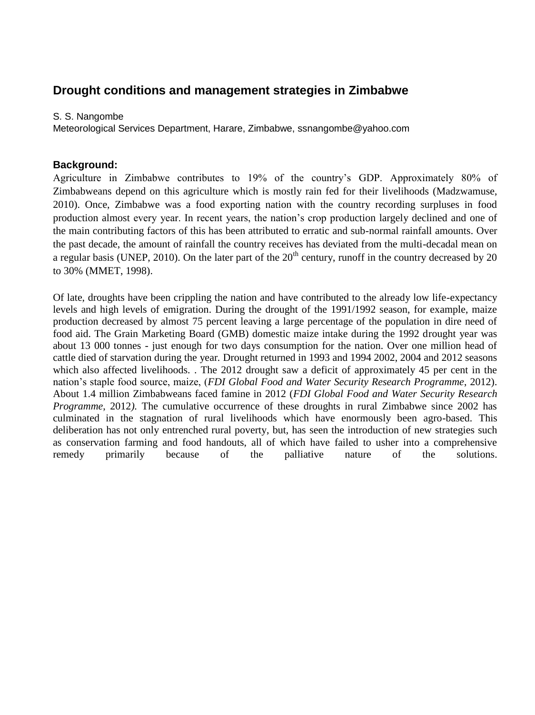# **Drought conditions and management strategies in Zimbabwe**

#### S. S. Nangombe

Meteorological Services Department, Harare, Zimbabwe, ssnangombe@yahoo.com

## **Background:**

Agriculture in Zimbabwe contributes to 19% of the country's GDP. Approximately 80% of Zimbabweans depend on this agriculture which is mostly rain fed for their livelihoods (Madzwamuse, 2010). Once, Zimbabwe was a food exporting nation with the country recording surpluses in food production almost every year. In recent years, the nation's crop production largely declined and one of the main contributing factors of this has been attributed to erratic and sub-normal rainfall amounts. Over the past decade, the amount of rainfall the country receives has deviated from the multi-decadal mean on a regular basis (UNEP, 2010). On the later part of the  $20<sup>th</sup>$  century, runoff in the country decreased by 20 to 30% (MMET, 1998).

Of late, droughts have been crippling the nation and have contributed to the already low life-expectancy levels and high levels of emigration. During the drought of the 1991/1992 season, for example, maize production decreased by almost 75 percent leaving a large percentage of the population in dire need of food aid. The Grain Marketing Board (GMB) domestic maize intake during the 1992 drought year was about 13 000 tonnes - just enough for two days consumption for the nation. Over one million head of cattle died of starvation during the year*.* Drought returned in 1993 and 1994 2002, 2004 and 2012 seasons which also affected livelihoods. . The 2012 drought saw a deficit of approximately 45 per cent in the nation's staple food source, maize, (*FDI Global Food and Water Security Research Programme*, 2012). About 1.4 million Zimbabweans faced famine in 2012 (*FDI Global Food and Water Security Research Programme*, 2012*).* The cumulative occurrence of these droughts in rural Zimbabwe since 2002 has culminated in the stagnation of rural livelihoods which have enormously been agro-based. This deliberation has not only entrenched rural poverty, but, has seen the introduction of new strategies such as conservation farming and food handouts, all of which have failed to usher into a comprehensive remedy primarily because of the palliative nature of the solutions.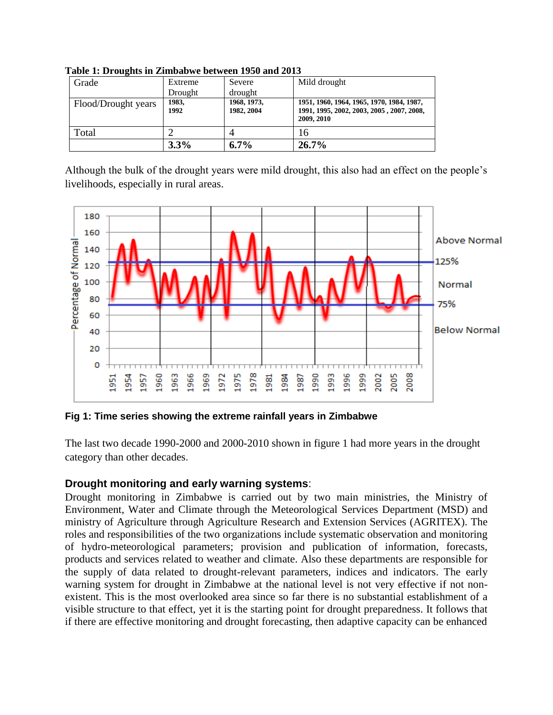| Grade               | Extreme       | Severe                    | Mild drought                                                                                         |
|---------------------|---------------|---------------------------|------------------------------------------------------------------------------------------------------|
|                     | Drought       | drought                   |                                                                                                      |
| Flood/Drought years | 1983,<br>1992 | 1968, 1973,<br>1982, 2004 | 1951, 1960, 1964, 1965, 1970, 1984, 1987,<br>1991, 1995, 2002, 2003, 2005, 2007, 2008,<br>2009, 2010 |
| Total               |               |                           | 16                                                                                                   |
|                     | 3.3%          | $6.7\%$                   | 26.7%                                                                                                |

**Table 1: Droughts in Zimbabwe between 1950 and 2013**

Although the bulk of the drought years were mild drought, this also had an effect on the people's livelihoods, especially in rural areas.



**Fig 1: Time series showing the extreme rainfall years in Zimbabwe** 

The last two decade 1990-2000 and 2000-2010 shown in figure 1 had more years in the drought category than other decades.

## **Drought monitoring and early warning systems**:

Drought monitoring in Zimbabwe is carried out by two main ministries, the Ministry of Environment, Water and Climate through the Meteorological Services Department (MSD) and ministry of Agriculture through Agriculture Research and Extension Services (AGRITEX). The roles and responsibilities of the two organizations include systematic observation and monitoring of hydro-meteorological parameters; provision and publication of information, forecasts, products and services related to weather and climate. Also these departments are responsible for the supply of data related to drought-relevant parameters, indices and indicators. The early warning system for drought in Zimbabwe at the national level is not very effective if not nonexistent. This is the most overlooked area since so far there is no substantial establishment of a visible structure to that effect, yet it is the starting point for drought preparedness. It follows that if there are effective monitoring and drought forecasting, then adaptive capacity can be enhanced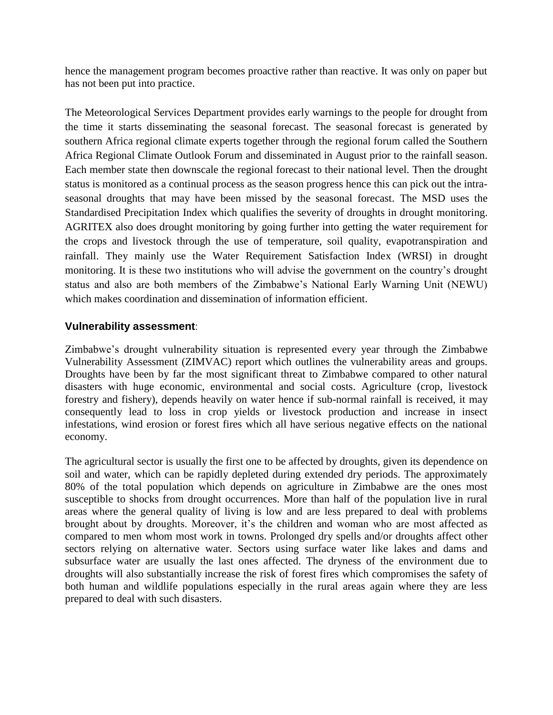hence the management program becomes proactive rather than reactive. It was only on paper but has not been put into practice.

The Meteorological Services Department provides early warnings to the people for drought from the time it starts disseminating the seasonal forecast. The seasonal forecast is generated by southern Africa regional climate experts together through the regional forum called the Southern Africa Regional Climate Outlook Forum and disseminated in August prior to the rainfall season. Each member state then downscale the regional forecast to their national level. Then the drought status is monitored as a continual process as the season progress hence this can pick out the intraseasonal droughts that may have been missed by the seasonal forecast. The MSD uses the Standardised Precipitation Index which qualifies the severity of droughts in drought monitoring. AGRITEX also does drought monitoring by going further into getting the water requirement for the crops and livestock through the use of temperature, soil quality, evapotranspiration and rainfall. They mainly use the Water Requirement Satisfaction Index (WRSI) in drought monitoring. It is these two institutions who will advise the government on the country's drought status and also are both members of the Zimbabwe's National Early Warning Unit (NEWU) which makes coordination and dissemination of information efficient.

## **Vulnerability assessment**:

Zimbabwe's drought vulnerability situation is represented every year through the Zimbabwe Vulnerability Assessment (ZIMVAC) report which outlines the vulnerability areas and groups. Droughts have been by far the most significant threat to Zimbabwe compared to other natural disasters with huge economic, environmental and social costs. Agriculture (crop, livestock forestry and fishery), depends heavily on water hence if sub-normal rainfall is received, it may consequently lead to loss in crop yields or livestock production and increase in insect infestations, wind erosion or forest fires which all have serious negative effects on the national economy.

The agricultural sector is usually the first one to be affected by droughts, given its dependence on soil and water, which can be rapidly depleted during extended dry periods. The approximately 80% of the total population which depends on agriculture in Zimbabwe are the ones most susceptible to shocks from drought occurrences. More than half of the population live in rural areas where the general quality of living is low and are less prepared to deal with problems brought about by droughts. Moreover, it's the children and woman who are most affected as compared to men whom most work in towns. Prolonged dry spells and/or droughts affect other sectors relying on alternative water. Sectors using surface water like lakes and dams and subsurface water are usually the last ones affected. The dryness of the environment due to droughts will also substantially increase the risk of forest fires which compromises the safety of both human and wildlife populations especially in the rural areas again where they are less prepared to deal with such disasters.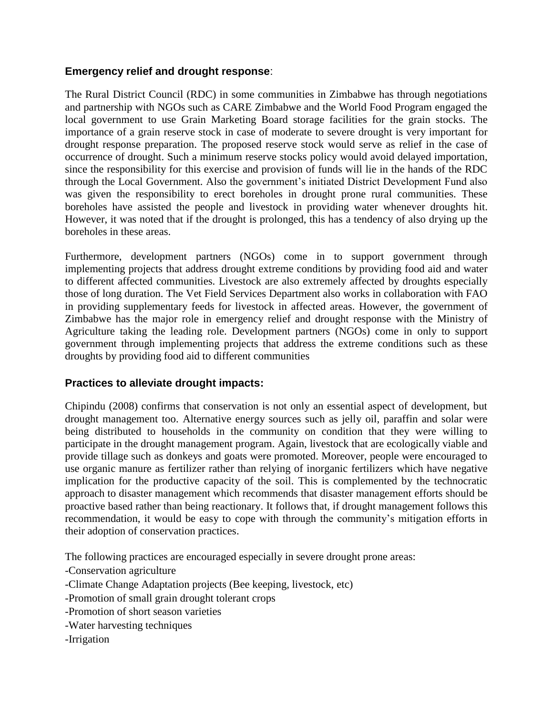## **Emergency relief and drought response**:

The Rural District Council (RDC) in some communities in Zimbabwe has through negotiations and partnership with NGOs such as CARE Zimbabwe and the World Food Program engaged the local government to use Grain Marketing Board storage facilities for the grain stocks. The importance of a grain reserve stock in case of moderate to severe drought is very important for drought response preparation. The proposed reserve stock would serve as relief in the case of occurrence of drought. Such a minimum reserve stocks policy would avoid delayed importation, since the responsibility for this exercise and provision of funds will lie in the hands of the RDC through the Local Government. Also the government's initiated District Development Fund also was given the responsibility to erect boreholes in drought prone rural communities. These boreholes have assisted the people and livestock in providing water whenever droughts hit. However, it was noted that if the drought is prolonged, this has a tendency of also drying up the boreholes in these areas.

Furthermore, development partners (NGOs) come in to support government through implementing projects that address drought extreme conditions by providing food aid and water to different affected communities. Livestock are also extremely affected by droughts especially those of long duration. The Vet Field Services Department also works in collaboration with FAO in providing supplementary feeds for livestock in affected areas. However, the government of Zimbabwe has the major role in emergency relief and drought response with the Ministry of Agriculture taking the leading role. Development partners (NGOs) come in only to support government through implementing projects that address the extreme conditions such as these droughts by providing food aid to different communities

## **Practices to alleviate drought impacts:**

Chipindu (2008) confirms that conservation is not only an essential aspect of development, but drought management too. Alternative energy sources such as jelly oil, paraffin and solar were being distributed to households in the community on condition that they were willing to participate in the drought management program. Again, livestock that are ecologically viable and provide tillage such as donkeys and goats were promoted. Moreover, people were encouraged to use organic manure as fertilizer rather than relying of inorganic fertilizers which have negative implication for the productive capacity of the soil. This is complemented by the technocratic approach to disaster management which recommends that disaster management efforts should be proactive based rather than being reactionary. It follows that, if drought management follows this recommendation, it would be easy to cope with through the community's mitigation efforts in their adoption of conservation practices.

The following practices are encouraged especially in severe drought prone areas:

- -Conservation agriculture
- -Climate Change Adaptation projects (Bee keeping, livestock, etc)
- -Promotion of small grain drought tolerant crops
- -Promotion of short season varieties
- -Water harvesting techniques
- -Irrigation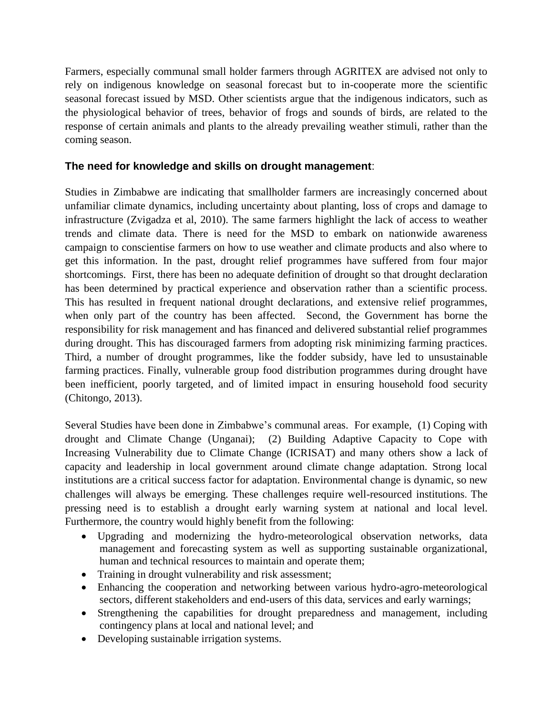Farmers, especially communal small holder farmers through AGRITEX are advised not only to rely on indigenous knowledge on seasonal forecast but to in-cooperate more the scientific seasonal forecast issued by MSD. Other scientists argue that the indigenous indicators, such as the physiological behavior of trees, behavior of frogs and sounds of birds, are related to the response of certain animals and plants to the already prevailing weather stimuli, rather than the coming season.

## **The need for knowledge and skills on drought management**:

Studies in Zimbabwe are indicating that smallholder farmers are increasingly concerned about unfamiliar climate dynamics, including uncertainty about planting, loss of crops and damage to infrastructure (Zvigadza et al, 2010). The same farmers highlight the lack of access to weather trends and climate data. There is need for the MSD to embark on nationwide awareness campaign to conscientise farmers on how to use weather and climate products and also where to get this information. In the past, drought relief programmes have suffered from four major shortcomings. First, there has been no adequate definition of drought so that drought declaration has been determined by practical experience and observation rather than a scientific process. This has resulted in frequent national drought declarations, and extensive relief programmes, when only part of the country has been affected. Second, the Government has borne the responsibility for risk management and has financed and delivered substantial relief programmes during drought. This has discouraged farmers from adopting risk minimizing farming practices. Third, a number of drought programmes, like the fodder subsidy, have led to unsustainable farming practices. Finally, vulnerable group food distribution programmes during drought have been inefficient, poorly targeted, and of limited impact in ensuring household food security (Chitongo, 2013).

Several Studies have been done in Zimbabwe's communal areas. For example, (1) Coping with drought and Climate Change (Unganai); (2) Building Adaptive Capacity to Cope with Increasing Vulnerability due to Climate Change (ICRISAT) and many others show a lack of capacity and leadership in local government around climate change adaptation. Strong local institutions are a critical success factor for adaptation. Environmental change is dynamic, so new challenges will always be emerging. These challenges require well-resourced institutions. The pressing need is to establish a drought early warning system at national and local level. Furthermore, the country would highly benefit from the following:

- Upgrading and modernizing the hydro-meteorological observation networks, data management and forecasting system as well as supporting sustainable organizational, human and technical resources to maintain and operate them;
- Training in drought vulnerability and risk assessment;
- Enhancing the cooperation and networking between various hydro-agro-meteorological sectors, different stakeholders and end-users of this data, services and early warnings;
- Strengthening the capabilities for drought preparedness and management, including contingency plans at local and national level; and
- Developing sustainable irrigation systems.